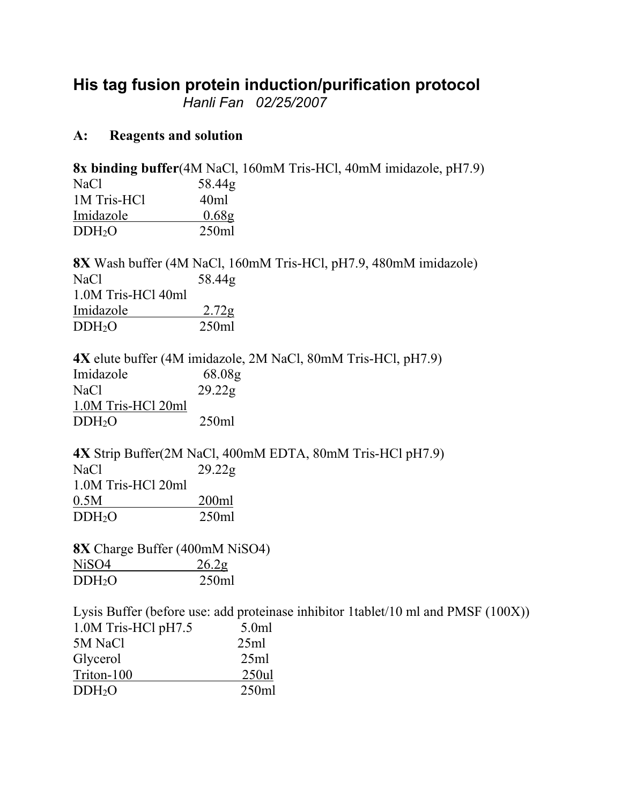## **His tag fusion protein induction/purification protocol**

*Hanli Fan 02/25/2007*

## **A: Reagents and solution**

**8x binding buffer**(4M NaCl, 160mM Tris-HCl, 40mM imidazole, pH7.9) NaCl 58.44g 1M Tris-HCl 40ml Imidazole 0.68g DDH2O 250ml

**8X** Wash buffer (4M NaCl, 160mM Tris-HCl, pH7.9, 480mM imidazole) NaCl 58.44g 1.0M Tris-HCl 40ml Imidazole 2.72g DDH2O 250ml

**4X** elute buffer (4M imidazole, 2M NaCl, 80mM Tris-HCl, pH7.9) Imidazole 68.08g NaCl 29.22g 1.0M Tris-HCl 20ml DDH2O 250ml

**4X** Strip Buffer(2M NaCl, 400mM EDTA, 80mM Tris-HCl pH7.9) NaCl 29.22g 1.0M Tris-HCl 20ml 0.5M 200ml DDH2O 250ml

**8X** Charge Buffer (400mM NiSO4) NiSO4 26.2g DDH2O 250ml

Lysis Buffer (before use: add proteinase inhibitor 1tablet/10 ml and PMSF (100X)) 1.0M Tris-HCl pH7.5 5.0ml 5M NaCl 25ml Glycerol 25ml Triton-100 250ul DDH2O 250ml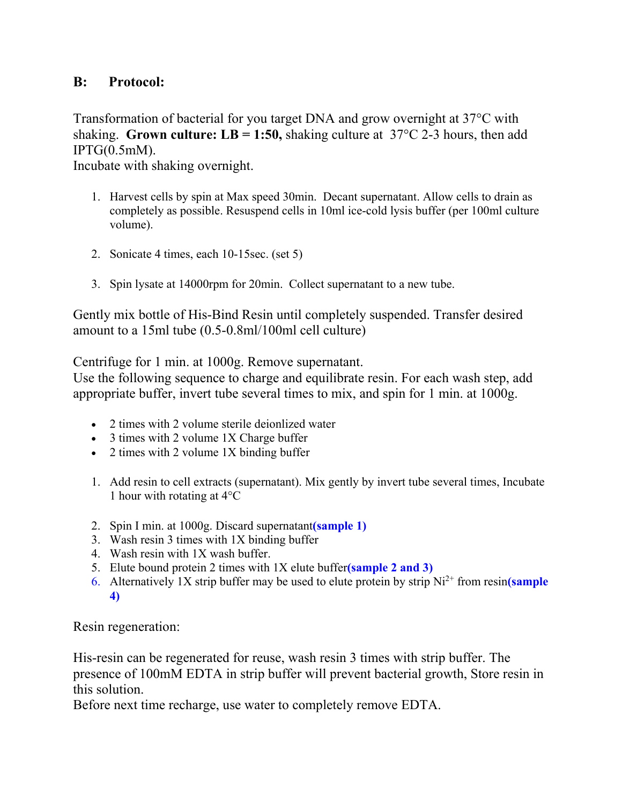## **B: Protocol:**

Transformation of bacterial for you target DNA and grow overnight at 37°C with shaking. **Grown culture: LB = 1:50,** shaking culture at  $37^{\circ}$ C 2-3 hours, then add  $IPTG(0.5mM)$ .

Incubate with shaking overnight.

- 1. Harvest cells by spin at Max speed 30min. Decant supernatant. Allow cells to drain as completely as possible. Resuspend cells in 10ml ice-cold lysis buffer (per 100ml culture volume).
- 2. Sonicate 4 times, each 10-15sec. (set 5)
- 3. Spin lysate at 14000rpm for 20min. Collect supernatant to a new tube.

Gently mix bottle of His-Bind Resin until completely suspended. Transfer desired amount to a 15ml tube (0.5-0.8ml/100ml cell culture)

Centrifuge for 1 min. at 1000g. Remove supernatant.

Use the following sequence to charge and equilibrate resin. For each wash step, add appropriate buffer, invert tube several times to mix, and spin for 1 min. at 1000g.

- 2 times with 2 volume sterile deionlized water
- 3 times with 2 volume 1X Charge buffer
- $\bullet$  2 times with 2 volume 1X binding buffer
- 1. Add resin to cell extracts (supernatant). Mix gently by invert tube several times, Incubate 1 hour with rotating at 4°C
- 2. Spin I min. at 1000g. Discard supernatant**(sample 1)**
- 3. Wash resin 3 times with 1X binding buffer
- 4. Wash resin with 1X wash buffer.
- 5. Elute bound protein 2 times with 1X elute buffer**(sample 2 and 3)**
- 6. Alternatively 1X strip buffer may be used to elute protein by strip Ni2+ from resin**(sample 4)**

Resin regeneration:

His-resin can be regenerated for reuse, wash resin 3 times with strip buffer. The presence of 100mM EDTA in strip buffer will prevent bacterial growth, Store resin in this solution.

Before next time recharge, use water to completely remove EDTA.